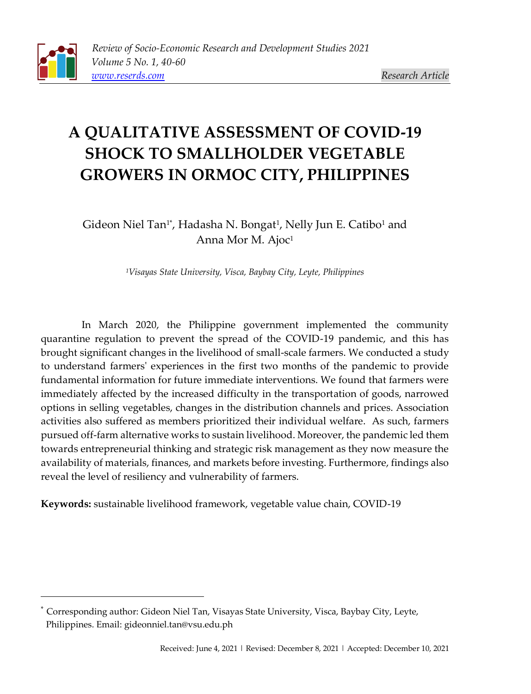# **A QUALITATIVE ASSESSMENT OF COVID-19 SHOCK TO SMALLHOLDER VEGETABLE GROWERS IN ORMOC CITY, PHILIPPINES**

Gideon Niel Tan1\*, Hadasha N. Bongat<sup>1</sup>, Nelly Jun E. Catibo<sup>1</sup> and Anna Mor M. Ajoc<sup>1</sup>

*<sup>1</sup>Visayas State University, Visca, Baybay City, Leyte, Philippines*

In March 2020, the Philippine government implemented the community quarantine regulation to prevent the spread of the COVID-19 pandemic, and this has brought significant changes in the livelihood of small-scale farmers. We conducted a study to understand farmers' experiences in the first two months of the pandemic to provide fundamental information for future immediate interventions. We found that farmers were immediately affected by the increased difficulty in the transportation of goods, narrowed options in selling vegetables, changes in the distribution channels and prices. Association activities also suffered as members prioritized their individual welfare. As such, farmers pursued off-farm alternative works to sustain livelihood. Moreover, the pandemic led them towards entrepreneurial thinking and strategic risk management as they now measure the availability of materials, finances, and markets before investing. Furthermore, findings also reveal the level of resiliency and vulnerability of farmers.

**Keywords:** sustainable livelihood framework, vegetable value chain, COVID-19

Corresponding author: Gideon Niel Tan, Visayas State University, Visca, Baybay City, Leyte, Philippines. Email[: gideonniel.tan@vsu.edu.ph](mailto:leomarich_casinillo@yahoo.com)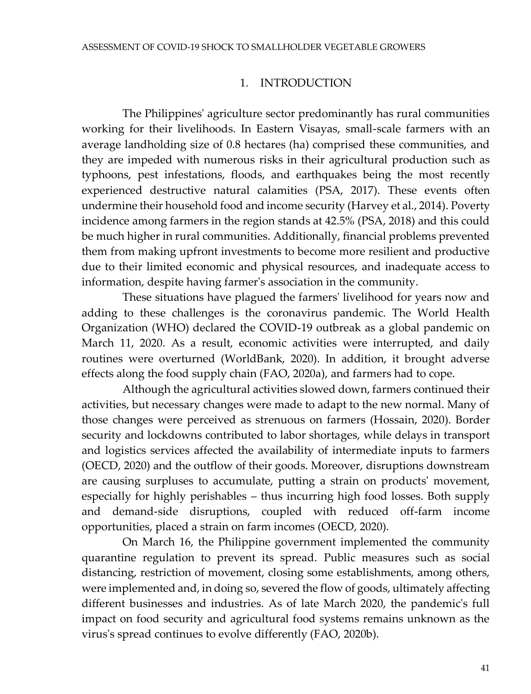#### 1. INTRODUCTION

The Philippines' agriculture sector predominantly has rural communities working for their livelihoods. In Eastern Visayas, small-scale farmers with an average landholding size of 0.8 hectares (ha) comprised these communities, and they are impeded with numerous risks in their agricultural production such as typhoons, pest infestations, floods, and earthquakes being the most recently experienced destructive natural calamities (PSA, 2017). These events often undermine their household food and income security (Harvey et al., 2014). Poverty incidence among farmers in the region stands at 42.5% (PSA, 2018) and this could be much higher in rural communities. Additionally, financial problems prevented them from making upfront investments to become more resilient and productive due to their limited economic and physical resources, and inadequate access to information, despite having farmer's association in the community.

These situations have plagued the farmers' livelihood for years now and adding to these challenges is the coronavirus pandemic. The World Health Organization (WHO) declared the COVID-19 outbreak as a global pandemic on March 11, 2020. As a result, economic activities were interrupted, and daily routines were overturned (WorldBank, 2020). In addition, it brought adverse effects along the food supply chain (FAO, 2020a), and farmers had to cope.

Although the agricultural activities slowed down, farmers continued their activities, but necessary changes were made to adapt to the new normal. Many of those changes were perceived as strenuous on farmers (Hossain, 2020). Border security and lockdowns contributed to labor shortages, while delays in transport and logistics services affected the availability of intermediate inputs to farmers (OECD, 2020) and the outflow of their goods. Moreover, disruptions downstream are causing surpluses to accumulate, putting a strain on products' movement, especially for highly perishables – thus incurring high food losses. Both supply and demand-side disruptions, coupled with reduced off-farm income opportunities, placed a strain on farm incomes (OECD, 2020).

On March 16, the Philippine government implemented the community quarantine regulation to prevent its spread. Public measures such as social distancing, restriction of movement, closing some establishments, among others, were implemented and, in doing so, severed the flow of goods, ultimately affecting different businesses and industries. As of late March 2020, the pandemic's full impact on food security and agricultural food systems remains unknown as the virus's spread continues to evolve differently (FAO, 2020b).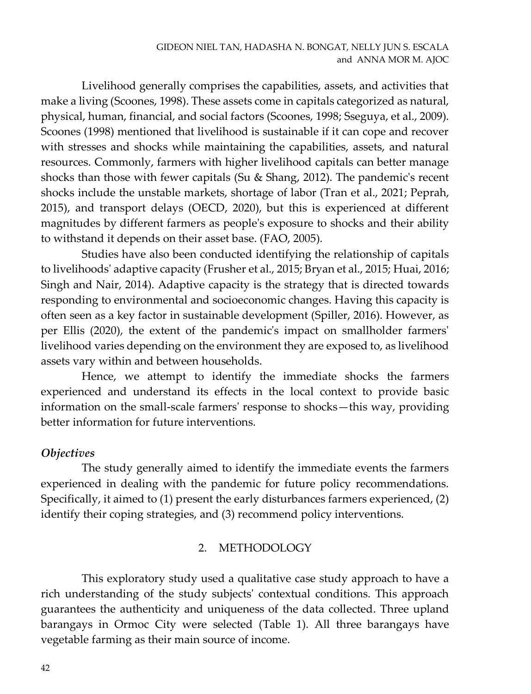Livelihood generally comprises the capabilities, assets, and activities that make a living (Scoones, 1998). These assets come in capitals categorized as natural, physical, human, financial, and social factors (Scoones, 1998; Sseguya, et al., 2009). Scoones (1998) mentioned that livelihood is sustainable if it can cope and recover with stresses and shocks while maintaining the capabilities, assets, and natural resources. Commonly, farmers with higher livelihood capitals can better manage shocks than those with fewer capitals (Su & Shang, 2012). The pandemic's recent shocks include the unstable markets, shortage of labor (Tran et al., 2021; Peprah, 2015), and transport delays (OECD, 2020), but this is experienced at different magnitudes by different farmers as people's exposure to shocks and their ability to withstand it depends on their asset base. (FAO, 2005).

Studies have also been conducted identifying the relationship of capitals to livelihoods' adaptive capacity (Frusher et al., 2015; Bryan et al., 2015; Huai, 2016; Singh and Nair, 2014). Adaptive capacity is the strategy that is directed towards responding to environmental and socioeconomic changes. Having this capacity is often seen as a key factor in sustainable development (Spiller, 2016). However, as per Ellis (2020), the extent of the pandemic's impact on smallholder farmers' livelihood varies depending on the environment they are exposed to, as livelihood assets vary within and between households.

Hence, we attempt to identify the immediate shocks the farmers experienced and understand its effects in the local context to provide basic information on the small-scale farmers' response to shocks—this way, providing better information for future interventions.

## *Objectives*

The study generally aimed to identify the immediate events the farmers experienced in dealing with the pandemic for future policy recommendations. Specifically, it aimed to (1) present the early disturbances farmers experienced, (2) identify their coping strategies, and (3) recommend policy interventions.

## 2. METHODOLOGY

This exploratory study used a qualitative case study approach to have a rich understanding of the study subjects' contextual conditions. This approach guarantees the authenticity and uniqueness of the data collected. Three upland barangays in Ormoc City were selected (Table 1). All three barangays have vegetable farming as their main source of income.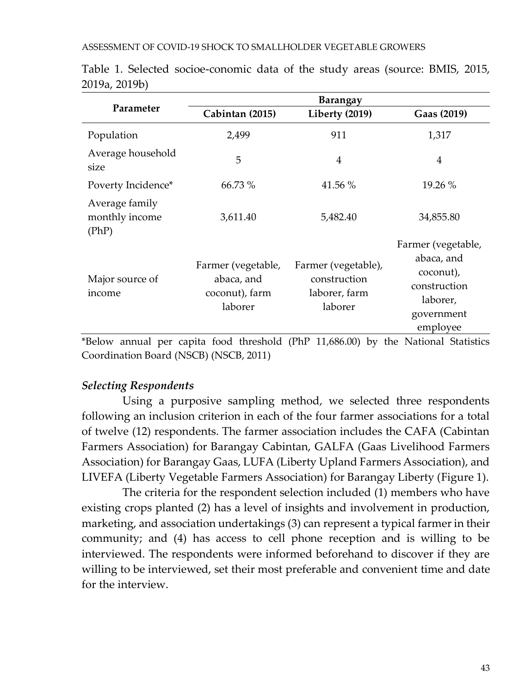|                                           | <b>Barangay</b>                                                                                                    |                                                                 |                                                                                                     |
|-------------------------------------------|--------------------------------------------------------------------------------------------------------------------|-----------------------------------------------------------------|-----------------------------------------------------------------------------------------------------|
| Parameter                                 | Cabintan (2015)                                                                                                    | Liberty (2019)                                                  | Gaas (2019)                                                                                         |
| Population                                | 2,499                                                                                                              | 911                                                             | 1,317                                                                                               |
| Average household<br>size                 | 5                                                                                                                  | $\overline{4}$                                                  | $\overline{4}$                                                                                      |
| Poverty Incidence*                        | 66.73 %                                                                                                            | 41.56 %                                                         | 19.26 %                                                                                             |
| Average family<br>monthly income<br>(PhP) | 3,611.40                                                                                                           | 5,482.40                                                        | 34,855.80                                                                                           |
| Major source of<br>income                 | Farmer (vegetable,<br>abaca, and<br>coconut), farm<br>laborer                                                      | Farmer (vegetable),<br>construction<br>laborer, farm<br>laborer | Farmer (vegetable,<br>abaca, and<br>coconut),<br>construction<br>laborer,<br>government<br>employee |
| $\sim$                                    | $\mathbf{a}$ and $\mathbf{a}$ and $\mathbf{a}$ and $\mathbf{a}$ and $\mathbf{a}$ and $\mathbf{a}$ and $\mathbf{a}$ |                                                                 | $\cdots$                                                                                            |

Table 1. Selected socioe-conomic data of the study areas (source: BMIS, 2015, 2019a, 2019b)

\*Below annual per capita food threshold (PhP 11,686.00) by the National Statistics Coordination Board (NSCB) (NSCB, 2011)

## *Selecting Respondents*

Using a purposive sampling method, we selected three respondents following an inclusion criterion in each of the four farmer associations for a total of twelve (12) respondents. The farmer association includes the CAFA (Cabintan Farmers Association) for Barangay Cabintan, GALFA (Gaas Livelihood Farmers Association) for Barangay Gaas, LUFA (Liberty Upland Farmers Association), and LIVEFA (Liberty Vegetable Farmers Association) for Barangay Liberty (Figure 1).

The criteria for the respondent selection included (1) members who have existing crops planted (2) has a level of insights and involvement in production, marketing, and association undertakings (3) can represent a typical farmer in their community; and (4) has access to cell phone reception and is willing to be interviewed. The respondents were informed beforehand to discover if they are willing to be interviewed, set their most preferable and convenient time and date for the interview.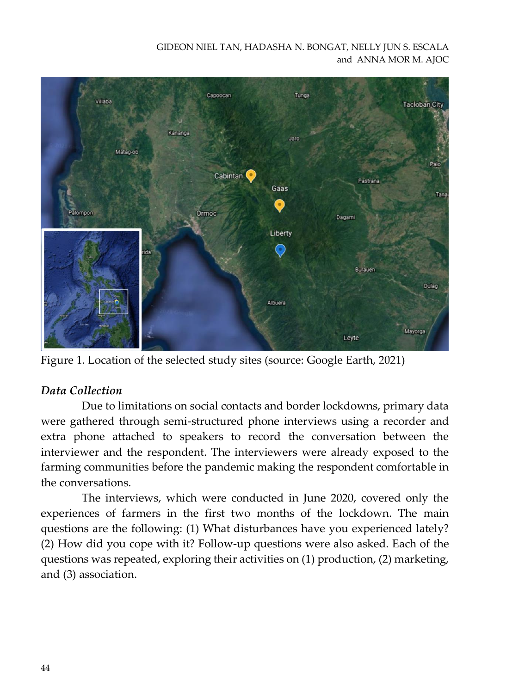GIDEON NIEL TAN, HADASHA N. BONGAT, NELLY JUN S. ESCALA and ANNA MOR M. AJOC



Figure 1. Location of the selected study sites (source: Google Earth, 2021)

## *Data Collection*

Due to limitations on social contacts and border lockdowns, primary data were gathered through semi-structured phone interviews using a recorder and extra phone attached to speakers to record the conversation between the interviewer and the respondent. The interviewers were already exposed to the farming communities before the pandemic making the respondent comfortable in the conversations.

The interviews, which were conducted in June 2020, covered only the experiences of farmers in the first two months of the lockdown. The main questions are the following: (1) What disturbances have you experienced lately? (2) How did you cope with it? Follow-up questions were also asked. Each of the questions was repeated, exploring their activities on (1) production, (2) marketing, and (3) association.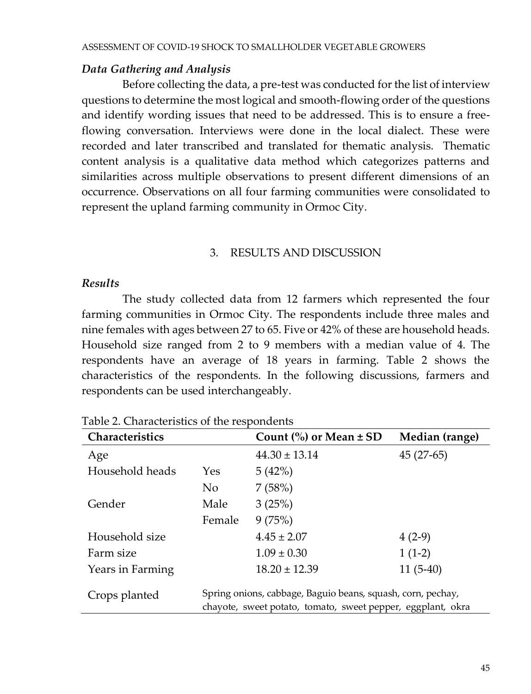#### *Data Gathering and Analysis*

Before collecting the data, a pre-test was conducted for the list of interview questions to determine the most logical and smooth-flowing order of the questions and identify wording issues that need to be addressed. This is to ensure a freeflowing conversation. Interviews were done in the local dialect. These were recorded and later transcribed and translated for thematic analysis. Thematic content analysis is a qualitative data method which categorizes patterns and similarities across multiple observations to present different dimensions of an occurrence. Observations on all four farming communities were consolidated to represent the upland farming community in Ormoc City.

#### 3. RESULTS AND DISCUSSION

#### *Results*

The study collected data from 12 farmers which represented the four farming communities in Ormoc City. The respondents include three males and nine females with ages between 27 to 65. Five or 42% of these are household heads. Household size ranged from 2 to 9 members with a median value of 4. The respondents have an average of 18 years in farming. Table 2 shows the characteristics of the respondents. In the following discussions, farmers and respondents can be used interchangeably.

| Characteristics  |            | Count $\frac{9}{6}$ or Mean $\pm$ SD                                                                                       | Median (range) |
|------------------|------------|----------------------------------------------------------------------------------------------------------------------------|----------------|
| Age              |            | $44.30 \pm 13.14$                                                                                                          | $45(27-65)$    |
| Household heads  | <b>Yes</b> | 5(42%)                                                                                                                     |                |
|                  | No.        | 7(58%)                                                                                                                     |                |
| Gender           | Male       | 3(25%)                                                                                                                     |                |
|                  | Female     | 9(75%)                                                                                                                     |                |
| Household size   |            | $4.45 \pm 2.07$                                                                                                            | $4(2-9)$       |
| Farm size        |            | $1.09 \pm 0.30$                                                                                                            | $1(1-2)$       |
| Years in Farming |            | $18.20 \pm 12.39$                                                                                                          | $11(5-40)$     |
| Crops planted    |            | Spring onions, cabbage, Baguio beans, squash, corn, pechay,<br>chayote, sweet potato, tomato, sweet pepper, eggplant, okra |                |

Table 2. Characteristics of the respondents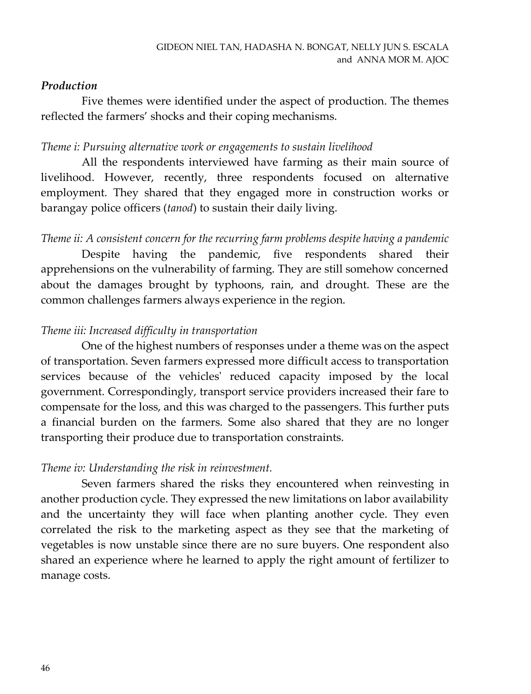## *Production*

Five themes were identified under the aspect of production. The themes reflected the farmers' shocks and their coping mechanisms.

## *Theme i: Pursuing alternative work or engagements to sustain livelihood*

All the respondents interviewed have farming as their main source of livelihood. However, recently, three respondents focused on alternative employment. They shared that they engaged more in construction works or barangay police officers (*tanod*) to sustain their daily living.

*Theme ii: A consistent concern for the recurring farm problems despite having a pandemic* Despite having the pandemic, five respondents shared their apprehensions on the vulnerability of farming. They are still somehow concerned about the damages brought by typhoons, rain, and drought. These are the common challenges farmers always experience in the region.

## *Theme iii: Increased difficulty in transportation*

One of the highest numbers of responses under a theme was on the aspect of transportation. Seven farmers expressed more difficult access to transportation services because of the vehicles' reduced capacity imposed by the local government. Correspondingly, transport service providers increased their fare to compensate for the loss, and this was charged to the passengers. This further puts a financial burden on the farmers. Some also shared that they are no longer transporting their produce due to transportation constraints.

## *Theme iv: Understanding the risk in reinvestment.*

Seven farmers shared the risks they encountered when reinvesting in another production cycle. They expressed the new limitations on labor availability and the uncertainty they will face when planting another cycle. They even correlated the risk to the marketing aspect as they see that the marketing of vegetables is now unstable since there are no sure buyers. One respondent also shared an experience where he learned to apply the right amount of fertilizer to manage costs.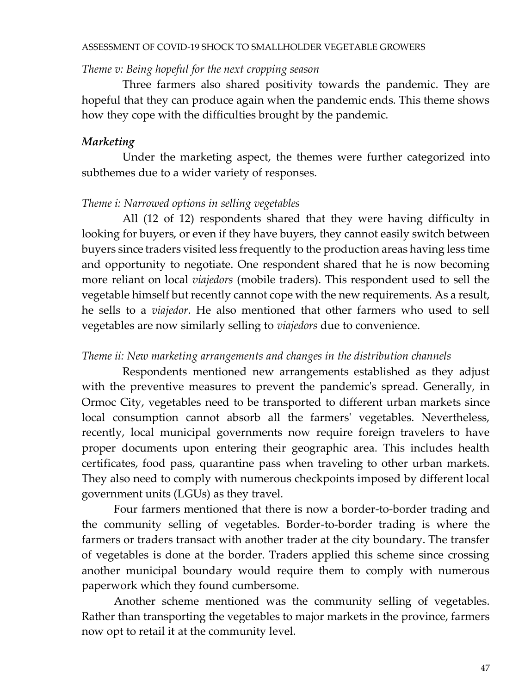#### ASSESSMENT OF COVID-19 SHOCK TO SMALLHOLDER VEGETABLE GROWERS

#### *Theme v: Being hopeful for the next cropping season*

Three farmers also shared positivity towards the pandemic. They are hopeful that they can produce again when the pandemic ends. This theme shows how they cope with the difficulties brought by the pandemic.

#### *Marketing*

Under the marketing aspect, the themes were further categorized into subthemes due to a wider variety of responses.

## *Theme i: Narrowed options in selling vegetables*

All (12 of 12) respondents shared that they were having difficulty in looking for buyers, or even if they have buyers, they cannot easily switch between buyers since traders visited less frequently to the production areas having less time and opportunity to negotiate. One respondent shared that he is now becoming more reliant on local *viajedors* (mobile traders). This respondent used to sell the vegetable himself but recently cannot cope with the new requirements. As a result, he sells to a *viajedor*. He also mentioned that other farmers who used to sell vegetables are now similarly selling to *viajedors* due to convenience.

#### *Theme ii: New marketing arrangements and changes in the distribution channels*

Respondents mentioned new arrangements established as they adjust with the preventive measures to prevent the pandemic's spread. Generally, in Ormoc City, vegetables need to be transported to different urban markets since local consumption cannot absorb all the farmers' vegetables. Nevertheless, recently, local municipal governments now require foreign travelers to have proper documents upon entering their geographic area. This includes health certificates, food pass, quarantine pass when traveling to other urban markets. They also need to comply with numerous checkpoints imposed by different local government units (LGUs) as they travel.

Four farmers mentioned that there is now a border-to-border trading and the community selling of vegetables. Border-to-border trading is where the farmers or traders transact with another trader at the city boundary. The transfer of vegetables is done at the border. Traders applied this scheme since crossing another municipal boundary would require them to comply with numerous paperwork which they found cumbersome.

Another scheme mentioned was the community selling of vegetables. Rather than transporting the vegetables to major markets in the province, farmers now opt to retail it at the community level.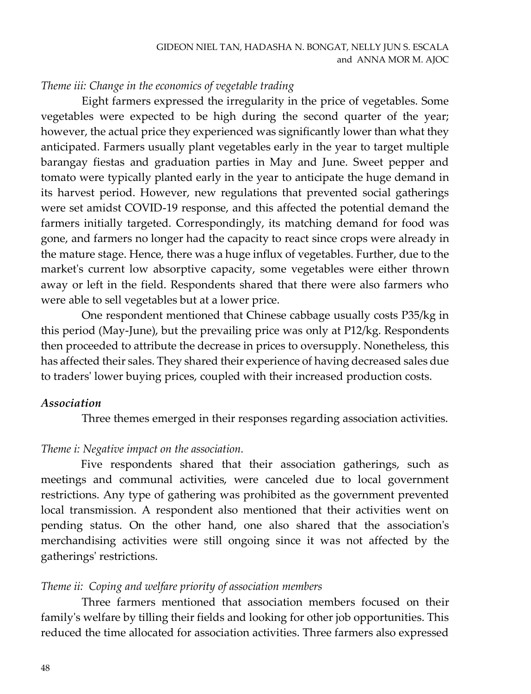## *Theme iii: Change in the economics of vegetable trading*

Eight farmers expressed the irregularity in the price of vegetables. Some vegetables were expected to be high during the second quarter of the year; however, the actual price they experienced was significantly lower than what they anticipated. Farmers usually plant vegetables early in the year to target multiple barangay fiestas and graduation parties in May and June. Sweet pepper and tomato were typically planted early in the year to anticipate the huge demand in its harvest period. However, new regulations that prevented social gatherings were set amidst COVID-19 response, and this affected the potential demand the farmers initially targeted. Correspondingly, its matching demand for food was gone, and farmers no longer had the capacity to react since crops were already in the mature stage. Hence, there was a huge influx of vegetables. Further, due to the market's current low absorptive capacity, some vegetables were either thrown away or left in the field. Respondents shared that there were also farmers who were able to sell vegetables but at a lower price.

One respondent mentioned that Chinese cabbage usually costs P35/kg in this period (May-June), but the prevailing price was only at P12/kg. Respondents then proceeded to attribute the decrease in prices to oversupply. Nonetheless, this has affected their sales. They shared their experience of having decreased sales due to traders' lower buying prices, coupled with their increased production costs.

#### *Association*

Three themes emerged in their responses regarding association activities.

#### *Theme i: Negative impact on the association.*

Five respondents shared that their association gatherings, such as meetings and communal activities, were canceled due to local government restrictions. Any type of gathering was prohibited as the government prevented local transmission. A respondent also mentioned that their activities went on pending status. On the other hand, one also shared that the association's merchandising activities were still ongoing since it was not affected by the gatherings' restrictions.

#### *Theme ii: Coping and welfare priority of association members*

Three farmers mentioned that association members focused on their family's welfare by tilling their fields and looking for other job opportunities. This reduced the time allocated for association activities. Three farmers also expressed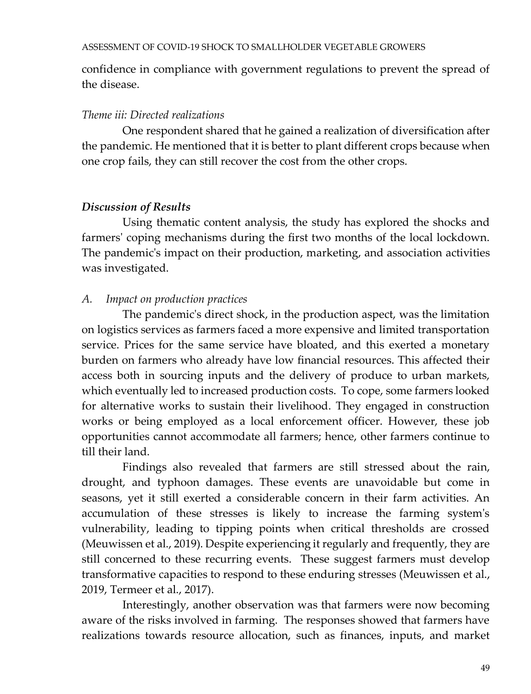confidence in compliance with government regulations to prevent the spread of the disease.

## *Theme iii: Directed realizations*

One respondent shared that he gained a realization of diversification after the pandemic. He mentioned that it is better to plant different crops because when one crop fails, they can still recover the cost from the other crops.

## *Discussion of Results*

Using thematic content analysis, the study has explored the shocks and farmers' coping mechanisms during the first two months of the local lockdown. The pandemic's impact on their production, marketing, and association activities was investigated.

## *A. Impact on production practices*

The pandemic's direct shock, in the production aspect, was the limitation on logistics services as farmers faced a more expensive and limited transportation service. Prices for the same service have bloated, and this exerted a monetary burden on farmers who already have low financial resources. This affected their access both in sourcing inputs and the delivery of produce to urban markets, which eventually led to increased production costs. To cope, some farmers looked for alternative works to sustain their livelihood. They engaged in construction works or being employed as a local enforcement officer. However, these job opportunities cannot accommodate all farmers; hence, other farmers continue to till their land.

Findings also revealed that farmers are still stressed about the rain, drought, and typhoon damages. These events are unavoidable but come in seasons, yet it still exerted a considerable concern in their farm activities. An accumulation of these stresses is likely to increase the farming system's vulnerability, leading to tipping points when critical thresholds are crossed (Meuwissen et al., 2019). Despite experiencing it regularly and frequently, they are still concerned to these recurring events. These suggest farmers must develop transformative capacities to respond to these enduring stresses (Meuwissen et al., 2019, Termeer et al., 2017).

Interestingly, another observation was that farmers were now becoming aware of the risks involved in farming. The responses showed that farmers have realizations towards resource allocation, such as finances, inputs, and market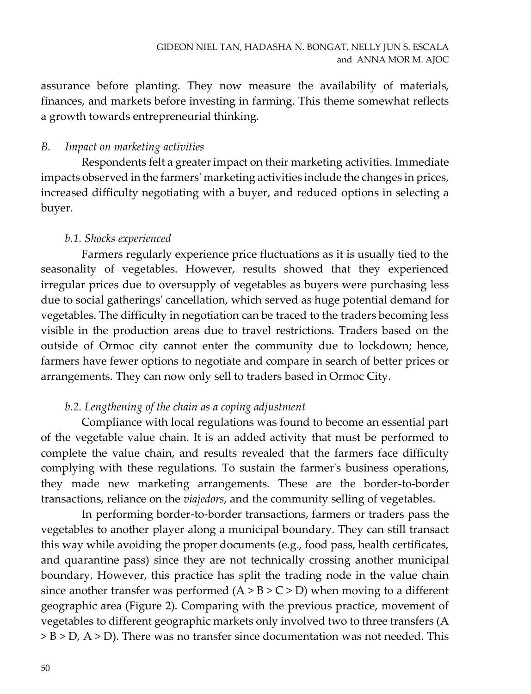assurance before planting. They now measure the availability of materials, finances, and markets before investing in farming. This theme somewhat reflects a growth towards entrepreneurial thinking.

## *B. Impact on marketing activities*

Respondents felt a greater impact on their marketing activities. Immediate impacts observed in the farmers' marketing activities include the changes in prices, increased difficulty negotiating with a buyer, and reduced options in selecting a buyer.

## *b.1. Shocks experienced*

Farmers regularly experience price fluctuations as it is usually tied to the seasonality of vegetables. However, results showed that they experienced irregular prices due to oversupply of vegetables as buyers were purchasing less due to social gatherings' cancellation, which served as huge potential demand for vegetables. The difficulty in negotiation can be traced to the traders becoming less visible in the production areas due to travel restrictions. Traders based on the outside of Ormoc city cannot enter the community due to lockdown; hence, farmers have fewer options to negotiate and compare in search of better prices or arrangements. They can now only sell to traders based in Ormoc City.

## *b.2. Lengthening of the chain as a coping adjustment*

Compliance with local regulations was found to become an essential part of the vegetable value chain. It is an added activity that must be performed to complete the value chain, and results revealed that the farmers face difficulty complying with these regulations. To sustain the farmer's business operations, they made new marketing arrangements. These are the border-to-border transactions, reliance on the *viajedors*, and the community selling of vegetables.

In performing border-to-border transactions, farmers or traders pass the vegetables to another player along a municipal boundary. They can still transact this way while avoiding the proper documents (e.g., food pass, health certificates, and quarantine pass) since they are not technically crossing another municipal boundary. However, this practice has split the trading node in the value chain since another transfer was performed  $(A > B > C > D)$  when moving to a different geographic area (Figure 2). Comparing with the previous practice, movement of vegetables to different geographic markets only involved two to three transfers (A > B > D, A > D). There was no transfer since documentation was not needed. This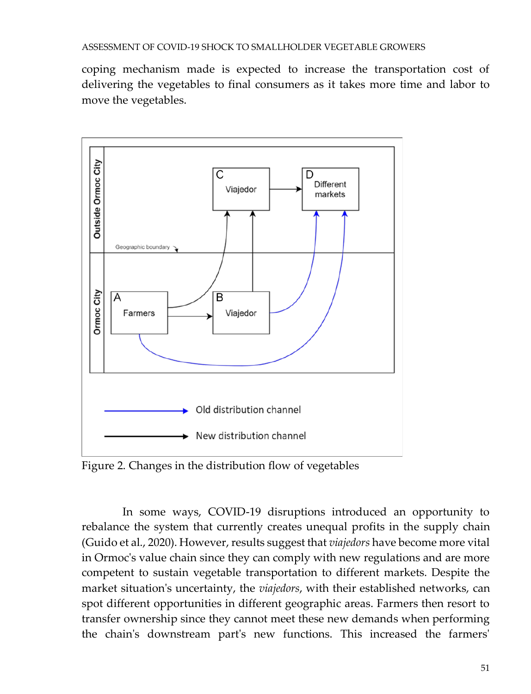coping mechanism made is expected to increase the transportation cost of delivering the vegetables to final consumers as it takes more time and labor to move the vegetables.



Figure 2. Changes in the distribution flow of vegetables

In some ways, COVID-19 disruptions introduced an opportunity to rebalance the system that currently creates unequal profits in the supply chain (Guido et al., 2020). However, results suggest that *viajedors* have become more vital in Ormoc's value chain since they can comply with new regulations and are more competent to sustain vegetable transportation to different markets. Despite the market situation's uncertainty, the *viajedors*, with their established networks, can spot different opportunities in different geographic areas. Farmers then resort to transfer ownership since they cannot meet these new demands when performing the chain's downstream part's new functions. This increased the farmers'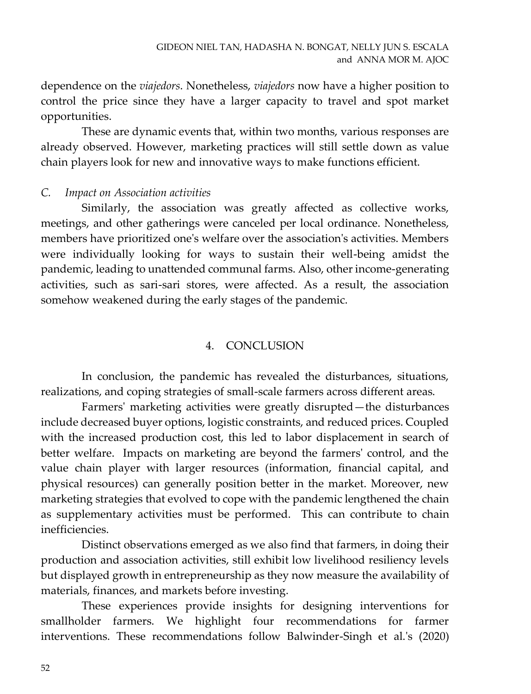dependence on the *viajedors*. Nonetheless, *viajedors* now have a higher position to control the price since they have a larger capacity to travel and spot market opportunities.

These are dynamic events that, within two months, various responses are already observed. However, marketing practices will still settle down as value chain players look for new and innovative ways to make functions efficient.

#### *C. Impact on Association activities*

Similarly, the association was greatly affected as collective works, meetings, and other gatherings were canceled per local ordinance. Nonetheless, members have prioritized one's welfare over the association's activities. Members were individually looking for ways to sustain their well-being amidst the pandemic, leading to unattended communal farms. Also, other income-generating activities, such as sari-sari stores, were affected. As a result, the association somehow weakened during the early stages of the pandemic.

#### 4. CONCLUSION

In conclusion, the pandemic has revealed the disturbances, situations, realizations, and coping strategies of small-scale farmers across different areas.

Farmers' marketing activities were greatly disrupted—the disturbances include decreased buyer options, logistic constraints, and reduced prices. Coupled with the increased production cost, this led to labor displacement in search of better welfare. Impacts on marketing are beyond the farmers' control, and the value chain player with larger resources (information, financial capital, and physical resources) can generally position better in the market. Moreover, new marketing strategies that evolved to cope with the pandemic lengthened the chain as supplementary activities must be performed. This can contribute to chain inefficiencies.

Distinct observations emerged as we also find that farmers, in doing their production and association activities, still exhibit low livelihood resiliency levels but displayed growth in entrepreneurship as they now measure the availability of materials, finances, and markets before investing.

These experiences provide insights for designing interventions for smallholder farmers. We highlight four recommendations for farmer interventions. These recommendations follow Balwinder-Singh et al.'s (2020)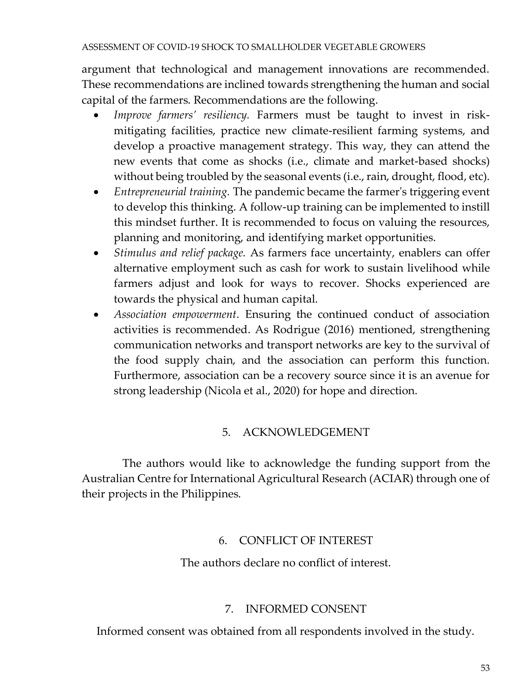#### ASSESSMENT OF COVID-19 SHOCK TO SMALLHOLDER VEGETABLE GROWERS

argument that technological and management innovations are recommended. These recommendations are inclined towards strengthening the human and social capital of the farmers. Recommendations are the following.

- *Improve farmers' resiliency.* Farmers must be taught to invest in riskmitigating facilities, practice new climate-resilient farming systems, and develop a proactive management strategy. This way, they can attend the new events that come as shocks (i.e., climate and market-based shocks) without being troubled by the seasonal events (i.e., rain, drought, flood, etc).
- *Entrepreneurial training.* The pandemic became the farmer's triggering event to develop this thinking. A follow-up training can be implemented to instill this mindset further. It is recommended to focus on valuing the resources, planning and monitoring, and identifying market opportunities.
- *Stimulus and relief package.* As farmers face uncertainty, enablers can offer alternative employment such as cash for work to sustain livelihood while farmers adjust and look for ways to recover. Shocks experienced are towards the physical and human capital.
- *Association empowerment*. Ensuring the continued conduct of association activities is recommended. As Rodrigue (2016) mentioned, strengthening communication networks and transport networks are key to the survival of the food supply chain, and the association can perform this function. Furthermore, association can be a recovery source since it is an avenue for strong leadership (Nicola et al., 2020) for hope and direction.

## 5. ACKNOWLEDGEMENT

The authors would like to acknowledge the funding support from the Australian Centre for International Agricultural Research (ACIAR) through one of their projects in the Philippines.

## 6. CONFLICT OF INTEREST

The authors declare no conflict of interest.

#### 7. INFORMED CONSENT

Informed consent was obtained from all respondents involved in the study.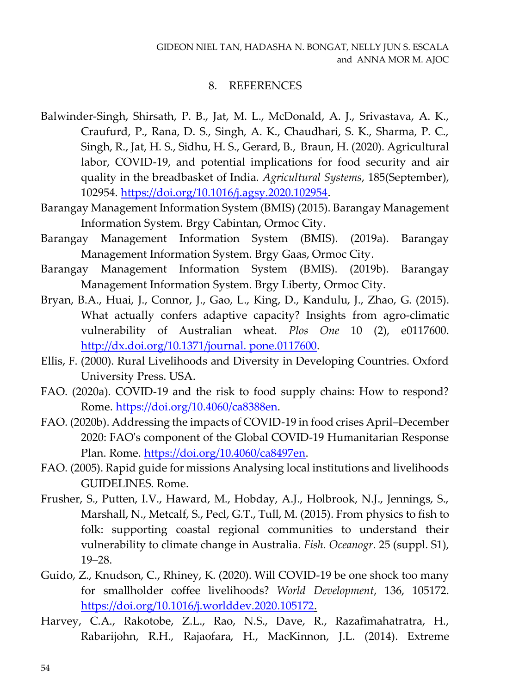#### 8. REFERENCES

- Balwinder-Singh, Shirsath, P. B., Jat, M. L., McDonald, A. J., Srivastava, A. K., Craufurd, P., Rana, D. S., Singh, A. K., Chaudhari, S. K., Sharma, P. C., Singh, R., Jat, H. S., Sidhu, H. S., Gerard, B., Braun, H. (2020). Agricultural labor, COVID-19, and potential implications for food security and air quality in the breadbasket of India. *Agricultural Systems*, 185(September), 102954. [https://doi.org/10.1016/j.agsy.2020.102954.](https://doi.org/10.1016/j.agsy.2020.102954)
- Barangay Management Information System (BMIS) (2015). Barangay Management Information System. Brgy Cabintan, Ormoc City.
- Barangay Management Information System (BMIS). (2019a). Barangay Management Information System. Brgy Gaas, Ormoc City.
- Barangay Management Information System (BMIS). (2019b). Barangay Management Information System. Brgy Liberty, Ormoc City.
- Bryan, B.A., Huai, J., Connor, J., Gao, L., King, D., Kandulu, J., Zhao, G. (2015). What actually confers adaptive capacity? Insights from agro-climatic vulnerability of Australian wheat. *Plos One* 10 (2), e0117600. [http://dx.doi.org/10.1371/journal. pone.0117600.](http://dx.doi.org/10.1371/journal.%20pone.0117600)
- Ellis, F. (2000). Rural Livelihoods and Diversity in Developing Countries. Oxford University Press. USA.
- FAO. (2020a). COVID-19 and the risk to food supply chains: How to respond? Rome. [https://doi.org/10.4060/ca8388en.](https://doi.org/10.4060/ca8388en)
- FAO. (2020b). Addressing the impacts of COVID-19 in food crises April–December 2020: FAO's component of the Global COVID-19 Humanitarian Response Plan. Rome. [https://doi.org/10.4060/ca8497en.](https://doi.org/10.4060/ca8497en)
- FAO. (2005). Rapid guide for missions Analysing local institutions and livelihoods GUIDELINES. Rome.
- Frusher, S., Putten, I.V., Haward, M., Hobday, A.J., Holbrook, N.J., Jennings, S., Marshall, N., Metcalf, S., Pecl, G.T., Tull, M. (2015). From physics to fish to folk: supporting coastal regional communities to understand their vulnerability to climate change in Australia. *Fish. Oceanogr*. 25 (suppl. S1), 19–28.
- Guido, Z., Knudson, C., Rhiney, K. (2020). Will COVID-19 be one shock too many for smallholder coffee livelihoods? *World Development*, 136, 105172. [https://doi.org/10.1016/j.worlddev.2020.105172.](https://doi.org/10.1016/j.worlddev.2020.105172)
- Harvey, C.A., Rakotobe, Z.L., Rao, N.S., Dave, R., Razafimahatratra, H., Rabarijohn, R.H., Rajaofara, H., MacKinnon, J.L. (2014). Extreme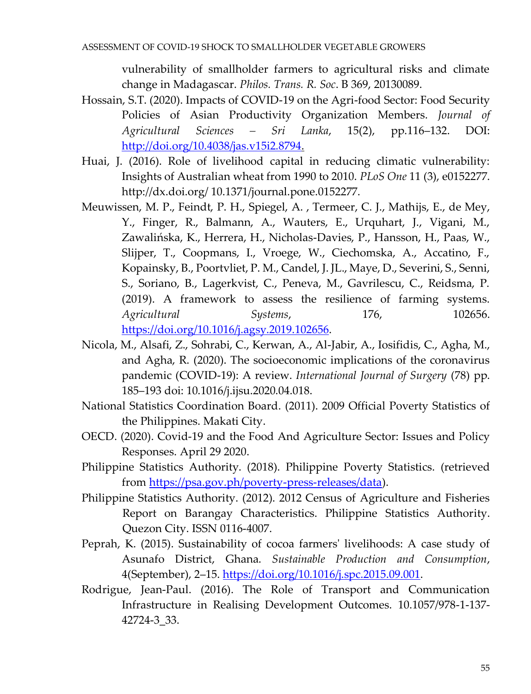vulnerability of smallholder farmers to agricultural risks and climate change in Madagascar. *Philos. Trans. R. Soc*. B 369, 20130089.

- Hossain, S.T. (2020). Impacts of COVID-19 on the Agri-food Sector: Food Security Policies of Asian Productivity Organization Members. *Journal of Agricultural Sciences – Sri Lanka*, 15(2), pp.116–132. DOI: [http://doi.org/10.4038/jas.v15i2.8794.](http://doi.org/10.4038/jas.v15i2.8794)
- Huai, J. (2016). Role of livelihood capital in reducing climatic vulnerability: Insights of Australian wheat from 1990 to 2010. *PLoS One* 11 (3), e0152277. http://dx.doi.org/ 10.1371/journal.pone.0152277.
- Meuwissen, M. P., Feindt, P. H., Spiegel, A. , Termeer, C. J., Mathijs, E., de Mey, Y., Finger, R., Balmann, A., Wauters, E., Urquhart, J., Vigani, M., Zawalińska, K., Herrera, H., Nicholas-Davies, P., Hansson, H., Paas, W., Slijper, T., Coopmans, I., Vroege, W., Ciechomska, A., Accatino, F., Kopainsky, B., Poortvliet, P. M., Candel, J. JL., Maye, D., Severini, S., Senni, S., Soriano, B., Lagerkvist, C., Peneva, M., Gavrilescu, C., Reidsma, P. (2019). A framework to assess the resilience of farming systems. *Agricultural Systems*, 176, 102656. [https://doi.org/10.1016/j.agsy.2019.102656.](https://doi.org/10.1016/j.agsy.2019.102656)
- Nicola, M., Alsafi, Z., Sohrabi, C., Kerwan, A., Al-Jabir, A., Iosifidis, C., Agha, M., and Agha, R. (2020). The socioeconomic implications of the coronavirus pandemic (COVID-19): A review. *International Journal of Surgery* (78) pp. 185–193 doi: 10.1016/j.ijsu.2020.04.018.
- National Statistics Coordination Board. (2011). 2009 Official Poverty Statistics of the Philippines. Makati City.
- OECD. (2020). Covid-19 and the Food And Agriculture Sector: Issues and Policy Responses. April 29 2020.
- Philippine Statistics Authority. (2018). Philippine Poverty Statistics. (retrieved from <u>https://psa.gov.ph/poverty-press-releases/data</u>).
- Philippine Statistics Authority. (2012). 2012 Census of Agriculture and Fisheries Report on Barangay Characteristics. Philippine Statistics Authority. Quezon City. ISSN 0116-4007.
- Peprah, K. (2015). Sustainability of cocoa farmers' livelihoods: A case study of Asunafo District, Ghana. *Sustainable Production and Consumption*, 4(September), 2–15. <u>https://doi.org/10.1016/j.spc.2015.09.001</u>.
- Rodrigue, Jean-Paul. (2016). The Role of Transport and Communication Infrastructure in Realising Development Outcomes. 10.1057/978-1-137- 42724-3\_33.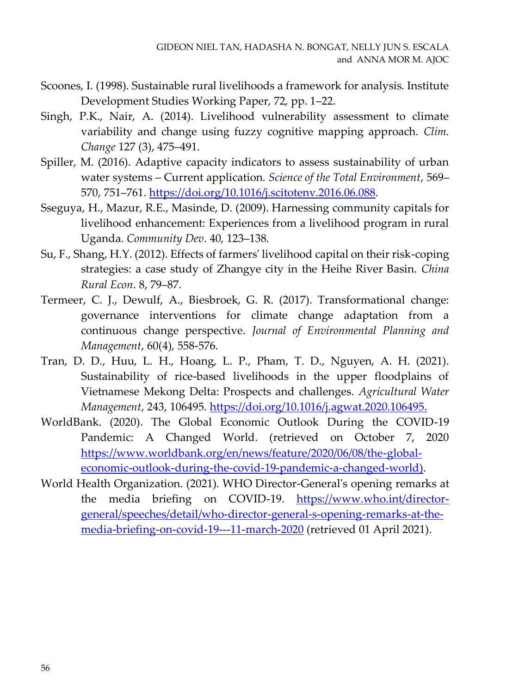- Scoones, I. (1998). Sustainable rural livelihoods a framework for analysis. Institute Development Studies Working Paper, 72, pp. 1–22.
- Singh, P.K., Nair, A. (2014). Livelihood vulnerability assessment to climate variability and change using fuzzy cognitive mapping approach. *Clim. Change* 127 (3), 475–491.
- Spiller, M. (2016). Adaptive capacity indicators to assess sustainability of urban water systems – Current application. *Science of the Total Environment*, 569– 570, 751–761[. https://doi.org/10.1016/j.scitotenv.2016.06.088.](https://doi.org/10.1016/j.scitotenv.2016.06.088)
- Sseguya, H., Mazur, R.E., Masinde, D. (2009). Harnessing community capitals for livelihood enhancement: Experiences from a livelihood program in rural Uganda. *Community Dev*. 40, 123–138.
- Su, F., Shang, H.Y. (2012). Effects of farmers' livelihood capital on their risk-coping strategies: a case study of Zhangye city in the Heihe River Basin. *China Rural Econ*. 8, 79–87.
- Termeer, C. J., Dewulf, A., Biesbroek, G. R. (2017). Transformational change: governance interventions for climate change adaptation from a continuous change perspective. *Journal of Environmental Planning and Management*, 60(4), 558-576.
- Tran, D. D., Huu, L. H., Hoang, L. P., Pham, T. D., Nguyen, A. H. (2021). Sustainability of rice-based livelihoods in the upper floodplains of Vietnamese Mekong Delta: Prospects and challenges. *Agricultural Water Management*, 243, 106495. [https://doi.org/10.1016/j.agwat.2020.106495.](https://doi.org/10.1016/j.agwat.2020.106495)
- WorldBank. (2020). The Global Economic Outlook During the COVID-19 Pandemic: A Changed World. (retrieved on October 7, 2020 [https://www.worldbank.org/en/news/feature/2020/06/08/the-global](https://www.worldbank.org/en/news/feature/2020/06/08/the-global-economic-outlook-during-the-covid-19-pandemic-a-changed-world))[economic-outlook-during-the-covid-19-pandemic-a-changed-world\).](https://www.worldbank.org/en/news/feature/2020/06/08/the-global-economic-outlook-during-the-covid-19-pandemic-a-changed-world))
- World Health Organization. (2021). WHO Director-General's opening remarks at the media briefing on COVID-19. [https://www.who.int/director](https://www.who.int/director-general/speeches/detail/who-director-general-s-opening-remarks-at-the-media-briefing-on-covid-19---11-march-2020)[general/speeches/detail/who-director-general-s-opening-remarks-at-the](https://www.who.int/director-general/speeches/detail/who-director-general-s-opening-remarks-at-the-media-briefing-on-covid-19---11-march-2020)[media-briefing-on-covid-19---11-march-2020](https://www.who.int/director-general/speeches/detail/who-director-general-s-opening-remarks-at-the-media-briefing-on-covid-19---11-march-2020) (retrieved 01 April 2021).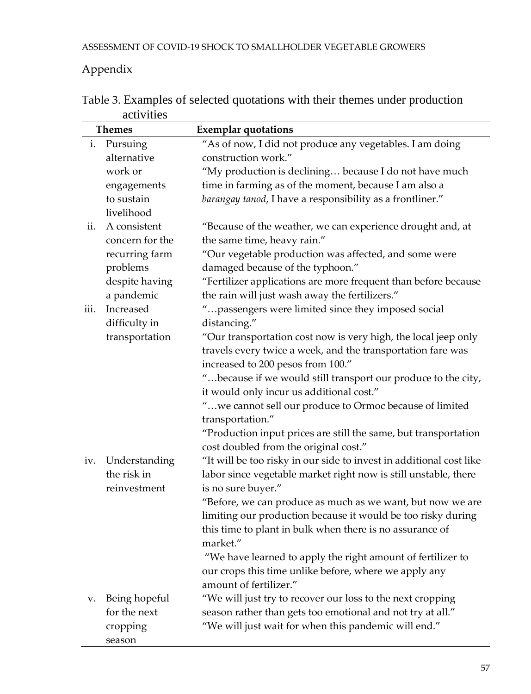# Appendix

|      | <b>Themes</b>   | <b>Exemplar</b> quotations                                          |
|------|-----------------|---------------------------------------------------------------------|
| i.   | Pursuing        | "As of now, I did not produce any vegetables. I am doing            |
|      | alternative     | construction work."                                                 |
|      | work or         | "My production is declining because I do not have much              |
|      | engagements     | time in farming as of the moment, because I am also a               |
|      | to sustain      | barangay tanod, I have a responsibility as a frontliner."           |
|      | livelihood      |                                                                     |
| ii.  | A consistent    | "Because of the weather, we can experience drought and, at          |
|      | concern for the | the same time, heavy rain."                                         |
|      | recurring farm  | "Our vegetable production was affected, and some were               |
|      | problems        | damaged because of the typhoon."                                    |
|      | despite having  | "Fertilizer applications are more frequent than before because      |
|      | a pandemic      | the rain will just wash away the fertilizers."                      |
| iii. | Increased       | "passengers were limited since they imposed social                  |
|      | difficulty in   | distancing."                                                        |
|      | transportation  | "Our transportation cost now is very high, the local jeep only      |
|      |                 | travels every twice a week, and the transportation fare was         |
|      |                 | increased to 200 pesos from 100."                                   |
|      |                 | " because if we would still transport our produce to the city,      |
|      |                 | it would only incur us additional cost."                            |
|      |                 | "we cannot sell our produce to Ormoc because of limited             |
|      |                 | transportation."                                                    |
|      |                 | "Production input prices are still the same, but transportation     |
|      |                 | cost doubled from the original cost."                               |
| iv.  | Understanding   | "It will be too risky in our side to invest in additional cost like |
|      | the risk in     | labor since vegetable market right now is still unstable, there     |
|      | reinvestment    | is no sure buyer."                                                  |
|      |                 | "Before, we can produce as much as we want, but now we are          |
|      |                 | limiting our production because it would be too risky during        |
|      |                 | this time to plant in bulk when there is no assurance of            |
|      |                 | market."                                                            |
|      |                 | "We have learned to apply the right amount of fertilizer to         |
|      |                 | our crops this time unlike before, where we apply any               |
|      |                 | amount of fertilizer."                                              |
| v.   | Being hopeful   | "We will just try to recover our loss to the next cropping          |
|      | for the next    | season rather than gets too emotional and not try at all."          |
|      | cropping        | "We will just wait for when this pandemic will end."                |
|      | season          |                                                                     |

Table 3. Examples of selected quotations with their themes under production activities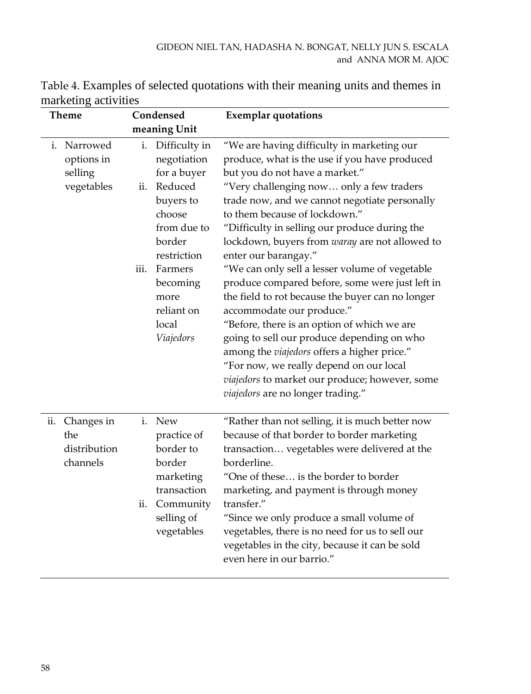| <b>Theme</b>                                         | Condensed                                                                                                                                                                                                  | <b>Exemplar quotations</b>                                                                                                                                                                                                                                                                                                                                                                                                                                                                                                                                                                                                                                                                                                                                                                                                                                        |
|------------------------------------------------------|------------------------------------------------------------------------------------------------------------------------------------------------------------------------------------------------------------|-------------------------------------------------------------------------------------------------------------------------------------------------------------------------------------------------------------------------------------------------------------------------------------------------------------------------------------------------------------------------------------------------------------------------------------------------------------------------------------------------------------------------------------------------------------------------------------------------------------------------------------------------------------------------------------------------------------------------------------------------------------------------------------------------------------------------------------------------------------------|
|                                                      | meaning Unit                                                                                                                                                                                               |                                                                                                                                                                                                                                                                                                                                                                                                                                                                                                                                                                                                                                                                                                                                                                                                                                                                   |
| i. Narrowed<br>options in<br>selling<br>vegetables   | i. Difficulty in<br>negotiation<br>for a buyer<br>Reduced<br>ii.<br>buyers to<br>choose<br>from due to<br>border<br>restriction<br>Farmers<br>iii.<br>becoming<br>more<br>reliant on<br>local<br>Viajedors | "We are having difficulty in marketing our<br>produce, what is the use if you have produced<br>but you do not have a market."<br>"Very challenging now only a few traders<br>trade now, and we cannot negotiate personally<br>to them because of lockdown."<br>"Difficulty in selling our produce during the<br>lockdown, buyers from waray are not allowed to<br>enter our barangay."<br>"We can only sell a lesser volume of vegetable<br>produce compared before, some were just left in<br>the field to rot because the buyer can no longer<br>accommodate our produce."<br>"Before, there is an option of which we are<br>going to sell our produce depending on who<br>among the viajedors offers a higher price."<br>"For now, we really depend on our local<br>viajedors to market our produce; however, some<br><i>viajedors</i> are no longer trading." |
| Changes in<br>ii.<br>the<br>distribution<br>channels | <b>New</b><br>i.<br>practice of<br>border to<br>border<br>marketing<br>transaction<br>Community<br>ii.<br>selling of<br>vegetables                                                                         | "Rather than not selling, it is much better now<br>because of that border to border marketing<br>transaction vegetables were delivered at the<br>borderline.<br>"One of these is the border to border<br>marketing, and payment is through money<br>transfer."<br>"Since we only produce a small volume of<br>vegetables, there is no need for us to sell our<br>vegetables in the city, because it can be sold<br>even here in our barrio."                                                                                                                                                                                                                                                                                                                                                                                                                      |

Table 4. Examples of selected quotations with their meaning units and themes in marketing activities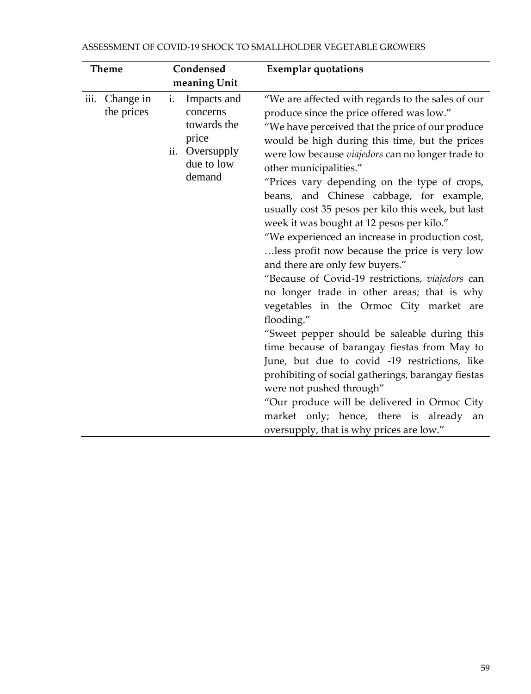| <b>Theme</b>                    | Condensed                                                                                          | <b>Exemplar</b> quotations                                                                                                                                                                                                                                                                                                                                                                                                                                                                                                                                                                                                                                                                                                                                                                                                                                                                                                                                                                                                                                                                                                                                         |
|---------------------------------|----------------------------------------------------------------------------------------------------|--------------------------------------------------------------------------------------------------------------------------------------------------------------------------------------------------------------------------------------------------------------------------------------------------------------------------------------------------------------------------------------------------------------------------------------------------------------------------------------------------------------------------------------------------------------------------------------------------------------------------------------------------------------------------------------------------------------------------------------------------------------------------------------------------------------------------------------------------------------------------------------------------------------------------------------------------------------------------------------------------------------------------------------------------------------------------------------------------------------------------------------------------------------------|
|                                 | meaning Unit                                                                                       |                                                                                                                                                                                                                                                                                                                                                                                                                                                                                                                                                                                                                                                                                                                                                                                                                                                                                                                                                                                                                                                                                                                                                                    |
| Change in<br>iii.<br>the prices | i.<br>Impacts and<br>concerns<br>towards the<br>price<br>ii.<br>Oversupply<br>due to low<br>demand | "We are affected with regards to the sales of our<br>produce since the price offered was low."<br>"We have perceived that the price of our produce<br>would be high during this time, but the prices<br>were low because viajedors can no longer trade to<br>other municipalities."<br>"Prices vary depending on the type of crops,<br>beans, and Chinese cabbage, for example,<br>usually cost 35 pesos per kilo this week, but last<br>week it was bought at 12 pesos per kilo."<br>"We experienced an increase in production cost,<br>less profit now because the price is very low<br>and there are only few buyers."<br>"Because of Covid-19 restrictions, viajedors can<br>no longer trade in other areas; that is why<br>vegetables in the Ormoc City market are<br>flooding."<br>"Sweet pepper should be saleable during this<br>time because of barangay fiestas from May to<br>June, but due to covid -19 restrictions, like<br>prohibiting of social gatherings, barangay fiestas<br>were not pushed through"<br>"Our produce will be delivered in Ormoc City<br>market only; hence, there is already<br>an<br>oversupply, that is why prices are low." |

#### ASSESSMENT OF COVID-19 SHOCK TO SMALLHOLDER VEGETABLE GROWERS